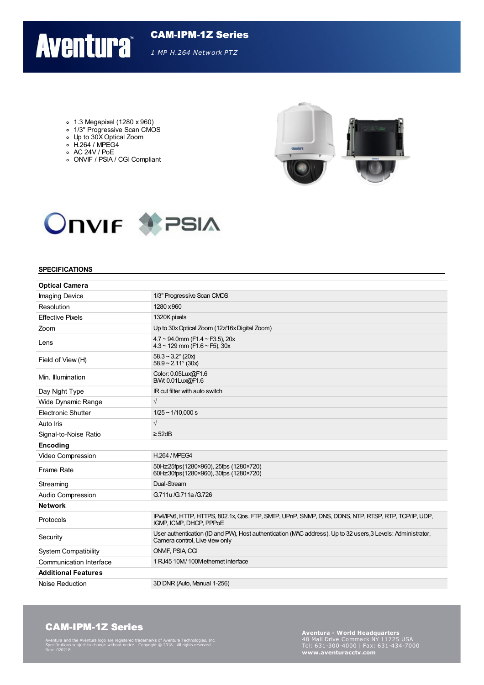## **Aventura**

CAM-IPM-1Z Series *1 MP H.264 Network PTZ*

- 1.3 Megapixel (1280 x 960)
- 1/3" Progressive Scan CMOS
- Up to 30XOptical Zoom  $\circ$  H.264 / MPEG4
- $\circ$  AC 24V / PoE
- ONVIF / PSIA / CGI Compliant





#### **SPECIFICATIONS**

| <b>Optical Camera</b>       |                                                                                                                                                |  |
|-----------------------------|------------------------------------------------------------------------------------------------------------------------------------------------|--|
| <b>Imaging Device</b>       | 1/3" Progressive Scan CMOS                                                                                                                     |  |
| Resolution                  | 1280 x 960                                                                                                                                     |  |
| <b>Effective Pixels</b>     | 1320K pixels                                                                                                                                   |  |
| Zoom                        | Up to 30x Optical Zoom (12z/16x Digital Zoom)                                                                                                  |  |
| Lens                        | $4.7 \sim 94.0$ mm (F1.4 ~ F3.5), 20x<br>$4.3 \sim 129$ mm (F1.6 ~ F5), $30x$                                                                  |  |
| Field of View (H)           | $58.3 - 3.2^{\circ}$ (20x)<br>$58.9 - 2.11^{\circ}$ (30x)                                                                                      |  |
| Min. Illumination           | Color: 0.05Lux@F1.6<br>B/W: 0.01Lux@F1.6                                                                                                       |  |
| Day Night Type              | IR cut filter with auto switch                                                                                                                 |  |
| Wide Dynamic Range          | $\sqrt{}$                                                                                                                                      |  |
| Electronic Shutter          | $1/25 \sim 1/10,000 s$                                                                                                                         |  |
| Auto Iris                   | $\sqrt{}$                                                                                                                                      |  |
| Signal-to-Noise Ratio       | $\geq$ 52dB                                                                                                                                    |  |
| Encoding                    |                                                                                                                                                |  |
| Video Compression           | <b>H.264 / MPEG4</b>                                                                                                                           |  |
| Frame Rate                  | 50Hz25fps(1280×960), 25fps (1280×720)<br>60Hz30fps(1280×960), 30fps (1280×720)                                                                 |  |
| Streaming                   | Dual-Stream                                                                                                                                    |  |
| Audio Compression           | G.711u/G.711a/G.726                                                                                                                            |  |
| <b>Network</b>              |                                                                                                                                                |  |
| Protocols                   | IPv4/IPv6, HTTP, HTTPS, 802.1x, Qos, FTP, SMTP, UPnP, SNMP, DNS, DDNS, NTP, RTSP, RTP, TCP/IP, UDP,<br>IGMP, ICMP, DHCP, PPPoE                 |  |
| Security                    | User authentication (ID and PW), Host authentication (MAC address). Up to 32 users, 3 Levels: Administrator,<br>Camera control, Live view only |  |
| <b>System Compatibility</b> | ONVIF, PSIA CGI                                                                                                                                |  |
| Communication Interface     | 1 RJ45 10M/100Methernet interface                                                                                                              |  |
| <b>Additional Features</b>  |                                                                                                                                                |  |
| Noise Reduction             | 3D DNR (Auto, Manual 1-256)                                                                                                                    |  |

#### CAM-IPM-1Z Series

Aventura and the Aventura logo are registered trademarks of Aventura Technologies, Inc. Specifications subject to change without notice. Copyright © 2018. All rights reserved Rev: 020218

**Aventura - World Headquarters** Tel: 631-300-4000 <sup>|</sup> Fax: 631-434-7000 **www.aventuracctv.com**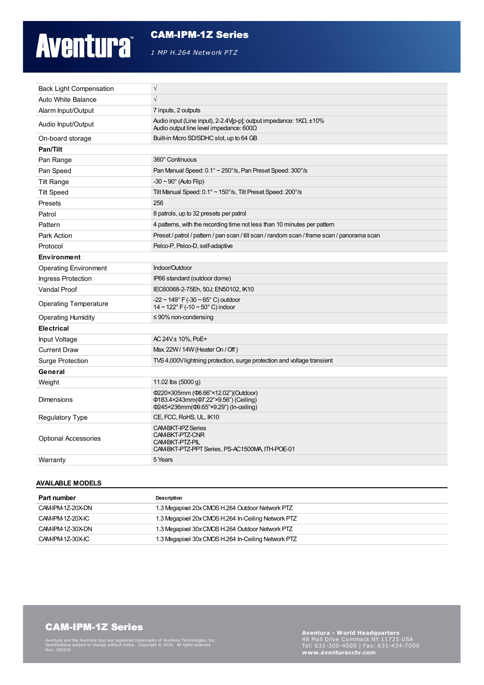# **Aventura**

#### CAM-IPM-1Z Series

*1 MP H.264 Network PTZ*

| <b>Back Light Compensation</b> | $\sqrt{}$                                                                                                                   |
|--------------------------------|-----------------------------------------------------------------------------------------------------------------------------|
| Auto White Balance             | $\sqrt{}$                                                                                                                   |
| Alarm Input/Output             | 7 inputs, 2 outputs                                                                                                         |
| Audio Input/Output             | Audio input (Line input), 2-2.4V[p-p]; output impedance: $1K\Omega$ , $\pm 10\%$<br>Audio output line level impedance: 600Ω |
| On-board storage               | Built-in Mcro SD/SDHC slot, up to 64 GB                                                                                     |
| Pan/Tilt                       |                                                                                                                             |
| Pan Range                      | 360° Continuous                                                                                                             |
| Pan Speed                      | Pan Manual Speed: 0.1° ~ 250°/s, Pan Preset Speed: 300°/s                                                                   |
| <b>Tilt Range</b>              | $-30 \sim 90^\circ$ (Auto Flip)                                                                                             |
| <b>Tilt Speed</b>              | Tilt Manual Speed: 0.1° ~ 150°/s, Tilt Preset Speed: 200°/s                                                                 |
| Presets                        | 256                                                                                                                         |
| Patrol                         | 8 patrols, up to 32 presets per patrol                                                                                      |
| Pattern                        | 4 patterns, with the recording time not less than 10 minutes per pattern                                                    |
| Park Action                    | Preset / patrol / pattern / pan scan / tilt scan / random scan / frame scan / panorama scan                                 |
| Protocol                       | Pelco-P, Pelco-D, self-adaptive                                                                                             |
| <b>Environment</b>             |                                                                                                                             |
| <b>Operating Environment</b>   | Indoor/Outdoor                                                                                                              |
| <b>Ingress Protection</b>      | IP66 standard (outdoor dome)                                                                                                |
| <b>Vandal Proof</b>            | IEC60068-2-75Eh, 50J; EN50102, IK10                                                                                         |
| <b>Operating Temperature</b>   | $-22 \sim 149^{\circ}$ F ( $-30 \sim 65^{\circ}$ C) outdoor<br>$14 \sim 122^{\circ}$ F (-10 ~ 50° C) indoor                 |
| <b>Operating Humidity</b>      | $\leq$ 90% non-condensing                                                                                                   |
| <b>Electrical</b>              |                                                                                                                             |
| Input Voltage                  | AC 24V ± 10%, PoE+                                                                                                          |
| <b>Current Draw</b>            | Max 22W/14W (Heater On / Off)                                                                                               |
| Surge Protection               | TVS 4,000V lightning protection, surge protection and voltage transient                                                     |
| General                        |                                                                                                                             |
| Weight                         | 11.02 lbs (5000 g)                                                                                                          |
| <b>Dimensions</b>              | Ф220×305mm (Ф8.66"×12.02")(Outdoor)<br>Ф183.4×243mm(Ф7.22"×9.56") (Ceiling)<br>Φ245×236mm(Φ9.65"×9.29") (In-ceiling)        |
| Regulatory Type                | CE, FCC, RoHS, UL, IK10                                                                                                     |
| <b>Optional Accessories</b>    | <b>CAM-BKT-IPZ Series</b><br>CAM-BKT-PTZ-CNR<br>CAM-BKT-PTZ-PIL<br>CAM-BKT-PTZ-PPT Series, PS-AC1500MA, ITH-POE-01          |
| Warranty                       | 5 Years                                                                                                                     |

#### **AVAILABLE MODELS**

| Part number       | Description                                         |
|-------------------|-----------------------------------------------------|
| CAM-IPM-1Z-20X-DN | 1.3 Megapixel 20x CMOS H.264 Outdoor Network PTZ    |
| CAM-IPM-1Z-20X-IC | 1.3 Megapixel 20x CMOS H.264 In-Ceiling Network PTZ |
| CAM-IPM-1Z-30X-DN | 1.3 Megapixel 30x CMOS H.264 Outdoor Network PTZ    |
| CAM-IPM-1Z-30X-IC | 1.3 Megapixel 30x CMOS H.264 In-Ceiling Network PTZ |

## CAM-IPM-1Z Series

Aventura and the Aventura logo are registered trademarks of Aventura Technologies, Inc. Specifications subject to change without notice. Copyright © 2018. All rights reserved Rev: 020218

**Aventura - World Headquarters** Tel: 631-300-4000 <sup>|</sup> Fax: 631-434-7000 **www.aventuracctv.com**